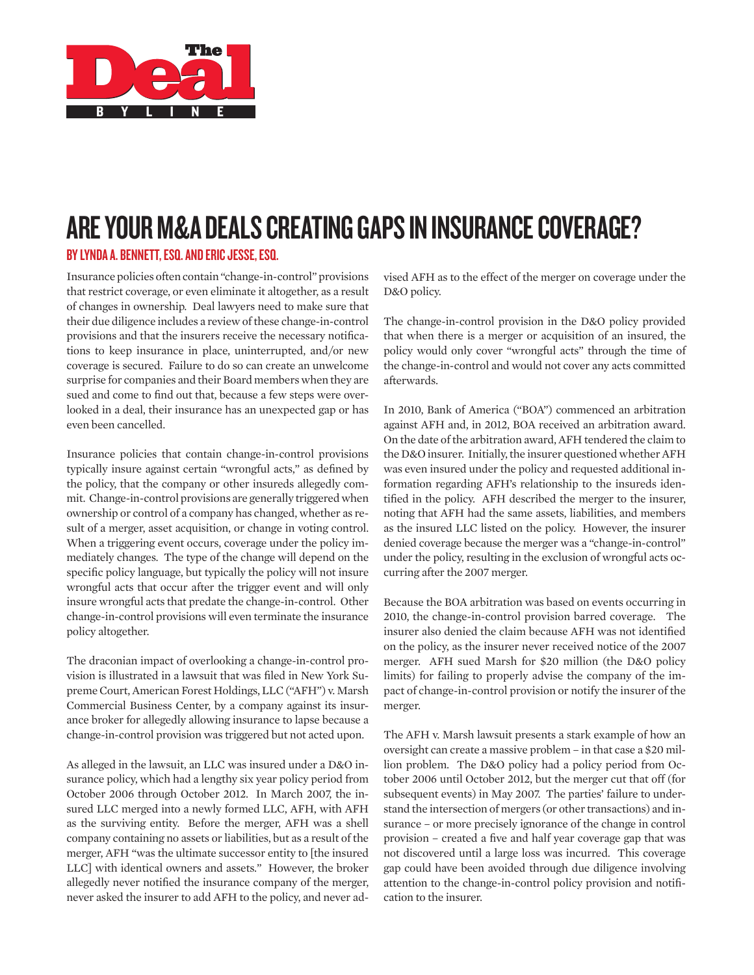

# Are Your M&A Deals Creating Gaps in Insurance Coverage?

# BY LYNDA A. BENNETT, ESQ. AND ERIC JESSE, ESQ.

Insurance policies often contain "change-in-control" provisions that restrict coverage, or even eliminate it altogether, as a result of changes in ownership. Deal lawyers need to make sure that their due diligence includes a review of these change-in-control provisions and that the insurers receive the necessary notifications to keep insurance in place, uninterrupted, and/or new coverage is secured. Failure to do so can create an unwelcome surprise for companies and their Board members when they are sued and come to find out that, because a few steps were overlooked in a deal, their insurance has an unexpected gap or has even been cancelled.

Insurance policies that contain change-in-control provisions typically insure against certain "wrongful acts," as defined by the policy, that the company or other insureds allegedly commit. Change-in-control provisions are generally triggered when ownership or control of a company has changed, whether as result of a merger, asset acquisition, or change in voting control. When a triggering event occurs, coverage under the policy immediately changes. The type of the change will depend on the specific policy language, but typically the policy will not insure wrongful acts that occur after the trigger event and will only insure wrongful acts that predate the change-in-control. Other change-in-control provisions will even terminate the insurance policy altogether.

The draconian impact of overlooking a change-in-control provision is illustrated in a lawsuit that was filed in New York Supreme Court, American Forest Holdings, LLC ("AFH") v. Marsh Commercial Business Center, by a company against its insurance broker for allegedly allowing insurance to lapse because a change-in-control provision was triggered but not acted upon.

As alleged in the lawsuit, an LLC was insured under a D&O insurance policy, which had a lengthy six year policy period from October 2006 through October 2012. In March 2007, the insured LLC merged into a newly formed LLC, AFH, with AFH as the surviving entity. Before the merger, AFH was a shell company containing no assets or liabilities, but as a result of the merger, AFH "was the ultimate successor entity to [the insured LLC] with identical owners and assets." However, the broker allegedly never notified the insurance company of the merger, never asked the insurer to add AFH to the policy, and never advised AFH as to the effect of the merger on coverage under the D&O policy.

The change-in-control provision in the D&O policy provided that when there is a merger or acquisition of an insured, the policy would only cover "wrongful acts" through the time of the change-in-control and would not cover any acts committed afterwards.

In 2010, Bank of America ("BOA") commenced an arbitration against AFH and, in 2012, BOA received an arbitration award. On the date of the arbitration award, AFH tendered the claim to the D&O insurer. Initially, the insurer questioned whether AFH was even insured under the policy and requested additional information regarding AFH's relationship to the insureds identified in the policy. AFH described the merger to the insurer, noting that AFH had the same assets, liabilities, and members as the insured LLC listed on the policy. However, the insurer denied coverage because the merger was a "change-in-control" under the policy, resulting in the exclusion of wrongful acts occurring after the 2007 merger.

Because the BOA arbitration was based on events occurring in 2010, the change-in-control provision barred coverage. The insurer also denied the claim because AFH was not identified on the policy, as the insurer never received notice of the 2007 merger. AFH sued Marsh for \$20 million (the D&O policy limits) for failing to properly advise the company of the impact of change-in-control provision or notify the insurer of the merger.

The AFH v. Marsh lawsuit presents a stark example of how an oversight can create a massive problem – in that case a \$20 million problem. The D&O policy had a policy period from October 2006 until October 2012, but the merger cut that off (for subsequent events) in May 2007. The parties' failure to understand the intersection of mergers (or other transactions) and insurance – or more precisely ignorance of the change in control provision – created a five and half year coverage gap that was not discovered until a large loss was incurred. This coverage gap could have been avoided through due diligence involving attention to the change-in-control policy provision and notification to the insurer.